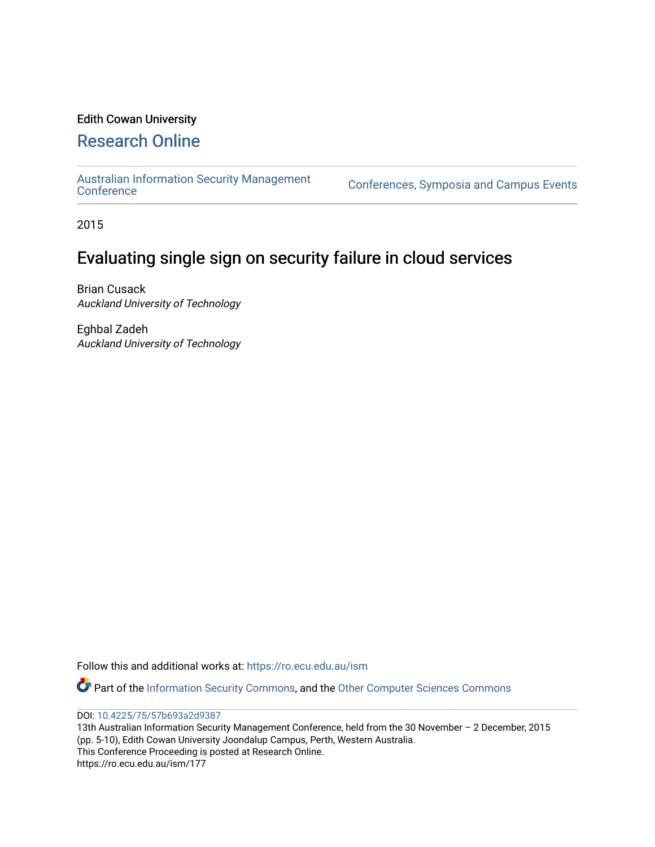### Edith Cowan University

## [Research Online](https://ro.ecu.edu.au/)

[Australian Information Security Management](https://ro.ecu.edu.au/ism) 

[Conference](https://ro.ecu.edu.au/ism)s, Symposia and Campus Events

2015

# Evaluating single sign on security failure in cloud services

Brian Cusack Auckland University of Technology

Eghbal Zadeh Auckland University of Technology

Follow this and additional works at: [https://ro.ecu.edu.au/ism](https://ro.ecu.edu.au/ism?utm_source=ro.ecu.edu.au%2Fism%2F177&utm_medium=PDF&utm_campaign=PDFCoverPages) 

Part of the [Information Security Commons](http://network.bepress.com/hgg/discipline/1247?utm_source=ro.ecu.edu.au%2Fism%2F177&utm_medium=PDF&utm_campaign=PDFCoverPages), and the [Other Computer Sciences Commons](http://network.bepress.com/hgg/discipline/152?utm_source=ro.ecu.edu.au%2Fism%2F177&utm_medium=PDF&utm_campaign=PDFCoverPages)

DOI: [10.4225/75/57b693a2d9387](https://doi.org/10.4225/75/57b693a2d9387) 

13th Australian Information Security Management Conference, held from the 30 November – 2 December, 2015 (pp. 5-10), Edith Cowan University Joondalup Campus, Perth, Western Australia. This Conference Proceeding is posted at Research Online. https://ro.ecu.edu.au/ism/177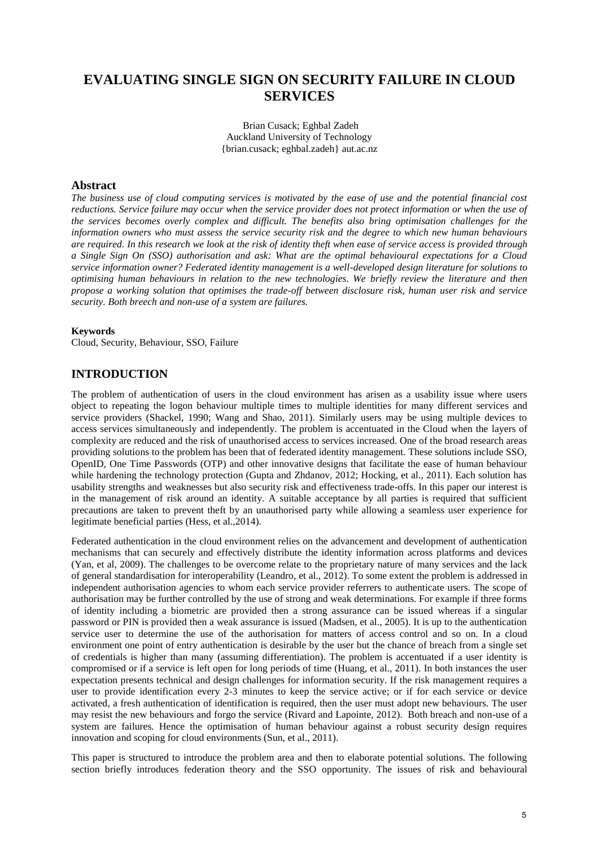## **EVALUATING SINGLE SIGN ON SECURITY FAILURE IN CLOUD SERVICES**

 Brian Cusack; Eghbal Zadeh Auckland University of Technology {brian.cusack; eghbal.zadeh} aut.ac.nz

#### **Abstract**

*The business use of cloud computing services is motivated by the ease of use and the potential financial cost reductions. Service failure may occur when the service provider does not protect information or when the use of the services becomes overly complex and difficult. The benefits also bring optimisation challenges for the information owners who must assess the service security risk and the degree to which new human behaviours are required. In this research we look at the risk of identity theft when ease of service access is provided through a Single Sign On (SSO) authorisation and ask: What are the optimal behavioural expectations for a Cloud service information owner? Federated identity management is a well-developed design literature for solutions to optimising human behaviours in relation to the new technologies. We briefly review the literature and then propose a working solution that optimises the trade-off between disclosure risk, human user risk and service security. Both breech and non-use of a system are failures.* 

#### **Keywords**

Cloud, Security, Behaviour, SSO, Failure

#### **INTRODUCTION**

The problem of authentication of users in the cloud environment has arisen as a usability issue where users object to repeating the logon behaviour multiple times to multiple identities for many different services and service providers (Shackel, 1990; Wang and Shao, 2011). Similarly users may be using multiple devices to access services simultaneously and independently. The problem is accentuated in the Cloud when the layers of complexity are reduced and the risk of unauthorised access to services increased. One of the broad research areas providing solutions to the problem has been that of federated identity management. These solutions include SSO, OpenID, One Time Passwords (OTP) and other innovative designs that facilitate the ease of human behaviour while hardening the technology protection (Gupta and Zhdanov, 2012; Hocking, et al., 2011). Each solution has usability strengths and weaknesses but also security risk and effectiveness trade-offs. In this paper our interest is in the management of risk around an identity. A suitable acceptance by all parties is required that sufficient precautions are taken to prevent theft by an unauthorised party while allowing a seamless user experience for legitimate beneficial parties (Hess, et al.,2014).

Federated authentication in the cloud environment relies on the advancement and development of authentication mechanisms that can securely and effectively distribute the identity information across platforms and devices (Yan, et al, 2009). The challenges to be overcome relate to the proprietary nature of many services and the lack of general standardisation for interoperability (Leandro, et al., 2012). To some extent the problem is addressed in independent authorisation agencies to whom each service provider referrers to authenticate users. The scope of authorisation may be further controlled by the use of strong and weak determinations. For example if three forms of identity including a biometric are provided then a strong assurance can be issued whereas if a singular password or PIN is provided then a weak assurance is issued (Madsen, et al., 2005). It is up to the authentication service user to determine the use of the authorisation for matters of access control and so on. In a cloud environment one point of entry authentication is desirable by the user but the chance of breach from a single set of credentials is higher than many (assuming differentiation). The problem is accentuated if a user identity is compromised or if a service is left open for long periods of time (Huang, et al., 2011). In both instances the user expectation presents technical and design challenges for information security. If the risk management requires a user to provide identification every 2-3 minutes to keep the service active; or if for each service or device activated, a fresh authentication of identification is required, then the user must adopt new behaviours. The user may resist the new behaviours and forgo the service (Rivard and Lapointe, 2012). Both breach and non-use of a system are failures. Hence the optimisation of human behaviour against a robust security design requires innovation and scoping for cloud environments (Sun, et al., 2011).

This paper is structured to introduce the problem area and then to elaborate potential solutions. The following section briefly introduces federation theory and the SSO opportunity. The issues of risk and behavioural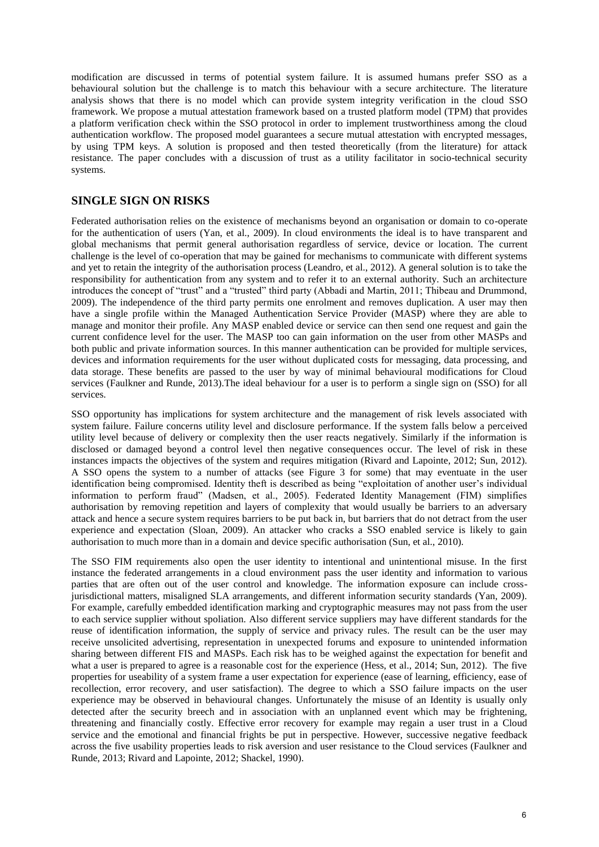modification are discussed in terms of potential system failure. It is assumed humans prefer SSO as a behavioural solution but the challenge is to match this behaviour with a secure architecture. The literature analysis shows that there is no model which can provide system integrity verification in the cloud SSO framework. We propose a mutual attestation framework based on a trusted platform model (TPM) that provides a platform verification check within the SSO protocol in order to implement trustworthiness among the cloud authentication workflow. The proposed model guarantees a secure mutual attestation with encrypted messages, by using TPM keys. A solution is proposed and then tested theoretically (from the literature) for attack resistance. The paper concludes with a discussion of trust as a utility facilitator in socio-technical security systems.

#### **SINGLE SIGN ON RISKS**

Federated authorisation relies on the existence of mechanisms beyond an organisation or domain to co-operate for the authentication of users (Yan, et al., 2009). In cloud environments the ideal is to have transparent and global mechanisms that permit general authorisation regardless of service, device or location. The current challenge is the level of co-operation that may be gained for mechanisms to communicate with different systems and yet to retain the integrity of the authorisation process (Leandro, et al., 2012). A general solution is to take the responsibility for authentication from any system and to refer it to an external authority. Such an architecture introduces the concept of "trust" and a "trusted" third party (Abbadi and Martin, 2011; Thibeau and Drummond, 2009). The independence of the third party permits one enrolment and removes duplication. A user may then have a single profile within the Managed Authentication Service Provider (MASP) where they are able to manage and monitor their profile. Any MASP enabled device or service can then send one request and gain the current confidence level for the user. The MASP too can gain information on the user from other MASPs and both public and private information sources. In this manner authentication can be provided for multiple services, devices and information requirements for the user without duplicated costs for messaging, data processing, and data storage. These benefits are passed to the user by way of minimal behavioural modifications for Cloud services (Faulkner and Runde, 2013).The ideal behaviour for a user is to perform a single sign on (SSO) for all services.

SSO opportunity has implications for system architecture and the management of risk levels associated with system failure. Failure concerns utility level and disclosure performance. If the system falls below a perceived utility level because of delivery or complexity then the user reacts negatively. Similarly if the information is disclosed or damaged beyond a control level then negative consequences occur. The level of risk in these instances impacts the objectives of the system and requires mitigation (Rivard and Lapointe, 2012; Sun, 2012). A SSO opens the system to a number of attacks (see Figure 3 for some) that may eventuate in the user identification being compromised. Identity theft is described as being "exploitation of another user's individual information to perform fraud" (Madsen, et al., 2005). Federated Identity Management (FIM) simplifies authorisation by removing repetition and layers of complexity that would usually be barriers to an adversary attack and hence a secure system requires barriers to be put back in, but barriers that do not detract from the user experience and expectation (Sloan, 2009). An attacker who cracks a SSO enabled service is likely to gain authorisation to much more than in a domain and device specific authorisation (Sun, et al., 2010).

The SSO FIM requirements also open the user identity to intentional and unintentional misuse. In the first instance the federated arrangements in a cloud environment pass the user identity and information to various parties that are often out of the user control and knowledge. The information exposure can include crossjurisdictional matters, misaligned SLA arrangements, and different information security standards (Yan, 2009). For example, carefully embedded identification marking and cryptographic measures may not pass from the user to each service supplier without spoliation. Also different service suppliers may have different standards for the reuse of identification information, the supply of service and privacy rules. The result can be the user may receive unsolicited advertising, representation in unexpected forums and exposure to unintended information sharing between different FIS and MASPs. Each risk has to be weighed against the expectation for benefit and what a user is prepared to agree is a reasonable cost for the experience (Hess, et al., 2014; Sun, 2012). The five properties for useability of a system frame a user expectation for experience (ease of learning, efficiency, ease of recollection, error recovery, and user satisfaction). The degree to which a SSO failure impacts on the user experience may be observed in behavioural changes. Unfortunately the misuse of an Identity is usually only detected after the security breech and in association with an unplanned event which may be frightening, threatening and financially costly. Effective error recovery for example may regain a user trust in a Cloud service and the emotional and financial frights be put in perspective. However, successive negative feedback across the five usability properties leads to risk aversion and user resistance to the Cloud services (Faulkner and Runde, 2013; Rivard and Lapointe, 2012; Shackel, 1990).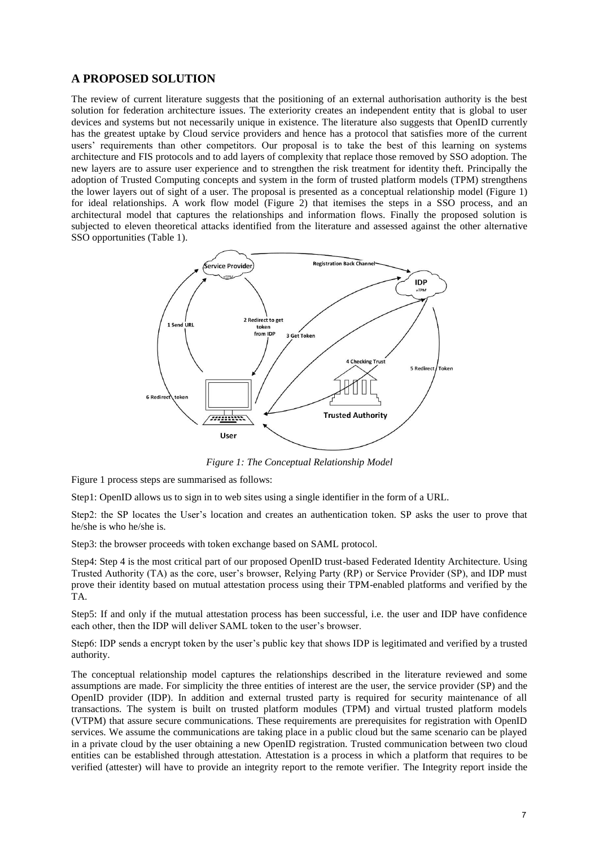#### **A PROPOSED SOLUTION**

The review of current literature suggests that the positioning of an external authorisation authority is the best solution for federation architecture issues. The exteriority creates an independent entity that is global to user devices and systems but not necessarily unique in existence. The literature also suggests that OpenID currently has the greatest uptake by Cloud service providers and hence has a protocol that satisfies more of the current users' requirements than other competitors. Our proposal is to take the best of this learning on systems architecture and FIS protocols and to add layers of complexity that replace those removed by SSO adoption. The new layers are to assure user experience and to strengthen the risk treatment for identity theft. Principally the adoption of Trusted Computing concepts and system in the form of trusted platform models (TPM) strengthens the lower layers out of sight of a user. The proposal is presented as a conceptual relationship model (Figure 1) for ideal relationships. A work flow model (Figure 2) that itemises the steps in a SSO process, and an architectural model that captures the relationships and information flows. Finally the proposed solution is subjected to eleven theoretical attacks identified from the literature and assessed against the other alternative SSO opportunities (Table 1).



*Figure 1: The Conceptual Relationship Model* 

Figure 1 process steps are summarised as follows:

Step1: OpenID allows us to sign in to web sites using a single identifier in the form of a URL.

Step2: the SP locates the User's location and creates an authentication token. SP asks the user to prove that he/she is who he/she is.

Step3: the browser proceeds with token exchange based on SAML protocol.

Step4: Step 4 is the most critical part of our proposed OpenID trust-based Federated Identity Architecture. Using Trusted Authority (TA) as the core, user's browser, Relying Party (RP) or Service Provider (SP), and IDP must prove their identity based on mutual attestation process using their TPM-enabled platforms and verified by the TA.

Step5: If and only if the mutual attestation process has been successful, i.e. the user and IDP have confidence each other, then the IDP will deliver SAML token to the user's browser.

Step6: IDP sends a encrypt token by the user's public key that shows IDP is legitimated and verified by a trusted authority.

The conceptual relationship model captures the relationships described in the literature reviewed and some assumptions are made. For simplicity the three entities of interest are the user, the service provider (SP) and the OpenID provider (IDP). In addition and external trusted party is required for security maintenance of all transactions. The system is built on trusted platform modules (TPM) and virtual trusted platform models (VTPM) that assure secure communications. These requirements are prerequisites for registration with OpenID services. We assume the communications are taking place in a public cloud but the same scenario can be played in a private cloud by the user obtaining a new OpenID registration. Trusted communication between two cloud entities can be established through attestation. Attestation is a process in which a platform that requires to be verified (attester) will have to provide an integrity report to the remote verifier. The Integrity report inside the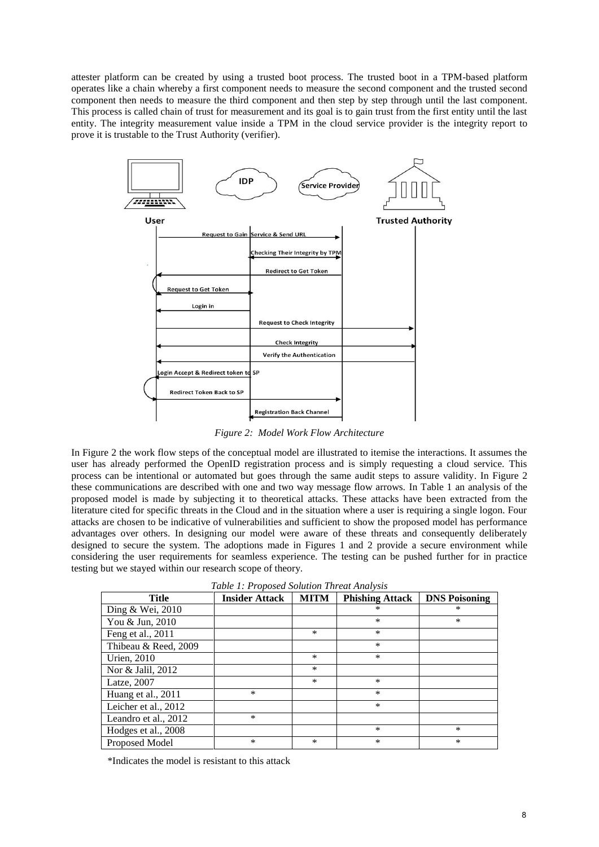attester platform can be created by using a trusted boot process. The trusted boot in a TPM-based platform operates like a chain whereby a first component needs to measure the second component and the trusted second component then needs to measure the third component and then step by step through until the last component. This process is called chain of trust for measurement and its goal is to gain trust from the first entity until the last entity. The integrity measurement value inside a TPM in the cloud service provider is the integrity report to prove it is trustable to the Trust Authority (verifier).



*Figure 2: Model Work Flow Architecture* 

In Figure 2 the work flow steps of the conceptual model are illustrated to itemise the interactions. It assumes the user has already performed the OpenID registration process and is simply requesting a cloud service. This process can be intentional or automated but goes through the same audit steps to assure validity. In Figure 2 these communications are described with one and two way message flow arrows. In Table 1 an analysis of the proposed model is made by subjecting it to theoretical attacks. These attacks have been extracted from the literature cited for specific threats in the Cloud and in the situation where a user is requiring a single logon. Four attacks are chosen to be indicative of vulnerabilities and sufficient to show the proposed model has performance advantages over others. In designing our model were aware of these threats and consequently deliberately designed to secure the system. The adoptions made in Figures 1 and 2 provide a secure environment while considering the user requirements for seamless experience. The testing can be pushed further for in practice testing but we stayed within our research scope of theory.

*Table 1: Proposed Solution Threat Analysis* 

| <b>Title</b>         | <b>Insider Attack</b> | <b>MITM</b> | <b>Phishing Attack</b> | <b>DNS Poisoning</b> |
|----------------------|-----------------------|-------------|------------------------|----------------------|
| Ding & Wei, 2010     |                       |             | $\ast$                 | ∗                    |
| You & Jun, 2010      |                       |             | $\ast$                 | $\ast$               |
| Feng et al., 2011    |                       | $\ast$      | $\ast$                 |                      |
| Thibeau & Reed, 2009 |                       |             | $\ast$                 |                      |
| Urien, 2010          |                       | $\ast$      | $\ast$                 |                      |
| Nor & Jalil, 2012    |                       | $\ast$      |                        |                      |
| Latze, 2007          |                       | $\ast$      | $\ast$                 |                      |
| Huang et al., 2011   | $\ast$                |             | $\ast$                 |                      |
| Leicher et al., 2012 |                       |             | $\ast$                 |                      |
| Leandro et al., 2012 | $\ast$                |             |                        |                      |
| Hodges et al., 2008  |                       |             | $\ast$                 | $\ast$               |
| Proposed Model       | $\ast$                | $\ast$      | $\ast$                 | *                    |

\*Indicates the model is resistant to this attack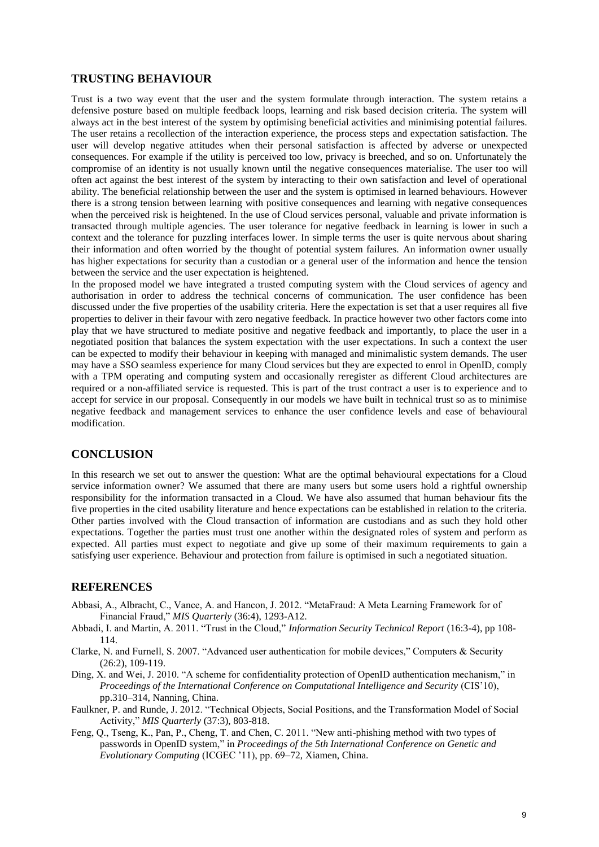#### **TRUSTING BEHAVIOUR**

Trust is a two way event that the user and the system formulate through interaction. The system retains a defensive posture based on multiple feedback loops, learning and risk based decision criteria. The system will always act in the best interest of the system by optimising beneficial activities and minimising potential failures. The user retains a recollection of the interaction experience, the process steps and expectation satisfaction. The user will develop negative attitudes when their personal satisfaction is affected by adverse or unexpected consequences. For example if the utility is perceived too low, privacy is breeched, and so on. Unfortunately the compromise of an identity is not usually known until the negative consequences materialise. The user too will often act against the best interest of the system by interacting to their own satisfaction and level of operational ability. The beneficial relationship between the user and the system is optimised in learned behaviours. However there is a strong tension between learning with positive consequences and learning with negative consequences when the perceived risk is heightened. In the use of Cloud services personal, valuable and private information is transacted through multiple agencies. The user tolerance for negative feedback in learning is lower in such a context and the tolerance for puzzling interfaces lower. In simple terms the user is quite nervous about sharing their information and often worried by the thought of potential system failures. An information owner usually has higher expectations for security than a custodian or a general user of the information and hence the tension between the service and the user expectation is heightened.

In the proposed model we have integrated a trusted computing system with the Cloud services of agency and authorisation in order to address the technical concerns of communication. The user confidence has been discussed under the five properties of the usability criteria. Here the expectation is set that a user requires all five properties to deliver in their favour with zero negative feedback. In practice however two other factors come into play that we have structured to mediate positive and negative feedback and importantly, to place the user in a negotiated position that balances the system expectation with the user expectations. In such a context the user can be expected to modify their behaviour in keeping with managed and minimalistic system demands. The user may have a SSO seamless experience for many Cloud services but they are expected to enrol in OpenID, comply with a TPM operating and computing system and occasionally reregister as different Cloud architectures are required or a non-affiliated service is requested. This is part of the trust contract a user is to experience and to accept for service in our proposal. Consequently in our models we have built in technical trust so as to minimise negative feedback and management services to enhance the user confidence levels and ease of behavioural modification.

#### **CONCLUSION**

In this research we set out to answer the question: What are the optimal behavioural expectations for a Cloud service information owner? We assumed that there are many users but some users hold a rightful ownership responsibility for the information transacted in a Cloud. We have also assumed that human behaviour fits the five properties in the cited usability literature and hence expectations can be established in relation to the criteria. Other parties involved with the Cloud transaction of information are custodians and as such they hold other expectations. Together the parties must trust one another within the designated roles of system and perform as expected. All parties must expect to negotiate and give up some of their maximum requirements to gain a satisfying user experience. Behaviour and protection from failure is optimised in such a negotiated situation.

#### **REFERENCES**

- Abbasi, A., Albracht, C., Vance, A. and Hancon, J. 2012. "MetaFraud: A Meta Learning Framework for of Financial Fraud," *MIS Quarterly* (36:4), 1293-A12.
- Abbadi, I. and Martin, A. 2011. "Trust in the Cloud," *Information Security Technical Report* (16:3-4), pp 108- 114.
- Clarke, N. and Furnell, S. 2007. "Advanced user authentication for mobile devices," Computers & Security (26:2), 109-119.
- Ding, X. and Wei, J. 2010. "A scheme for confidentiality protection of OpenID authentication mechanism," in *Proceedings of the International Conference on Computational Intelligence and Security* (CIS'10), pp.310–314, Nanning, China.
- Faulkner, P. and Runde, J. 2012. "Technical Objects, Social Positions, and the Transformation Model of Social Activity," *MIS Quarterly* (37:3), 803-818.
- Feng, Q., Tseng, K., Pan, P., Cheng, T. and Chen, C. 2011. "New anti-phishing method with two types of passwords in OpenID system," in *Proceedings of the 5th International Conference on Genetic and Evolutionary Computing* (ICGEC '11), pp. 69–72, Xiamen, China.